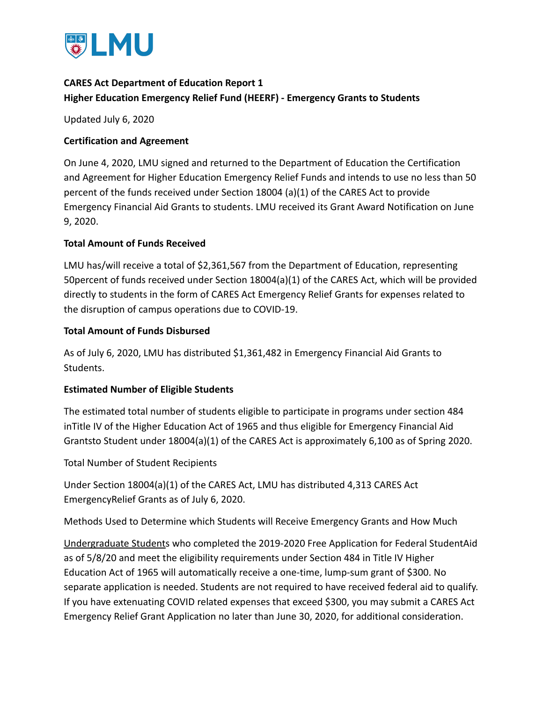

# **CARES Act Department of Education Report 1 Higher Education Emergency Relief Fund (HEERF) - Emergency Grants to Students**

Updated July 6, 2020

## **Certification and Agreement**

On June 4, 2020, LMU signed and returned to the Department of Education the Certification and Agreement for Higher Education Emergency Relief Funds and intends to use no less than 50 percent of the funds received under Section 18004 (a)(1) of the CARES Act to provide Emergency Financial Aid Grants to students. LMU received its Grant Award Notification on June 9, 2020.

## **Total Amount of Funds Received**

LMU has/will receive a total of \$2,361,567 from the Department of Education, representing 50percent of funds received under Section 18004(a)(1) of the CARES Act, which will be provided directly to students in the form of CARES Act Emergency Relief Grants for expenses related to the disruption of campus operations due to COVID-19.

## **Total Amount of Funds Disbursed**

As of July 6, 2020, LMU has distributed \$1,361,482 in Emergency Financial Aid Grants to Students.

## **Estimated Number of Eligible Students**

The estimated total number of students eligible to participate in programs under section 484 inTitle IV of the Higher Education Act of 1965 and thus eligible for Emergency Financial Aid Grantsto Student under 18004(a)(1) of the CARES Act is approximately 6,100 as of Spring 2020.

Total Number of Student Recipients

Under Section 18004(a)(1) of the CARES Act, LMU has distributed 4,313 CARES Act EmergencyRelief Grants as of July 6, 2020.

Methods Used to Determine which Students will Receive Emergency Grants and How Much

Undergraduate Students who completed the 2019-2020 Free Application for Federal StudentAid as of 5/8/20 and meet the eligibility requirements under Section 484 in Title IV Higher Education Act of 1965 will automatically receive a one-time, lump-sum grant of \$300. No separate application is needed. Students are not required to have received federal aid to qualify. If you have extenuating COVID related expenses that exceed \$300, you may submit a CARES Act Emergency Relief Grant Application no later than June 30, 2020, for additional consideration.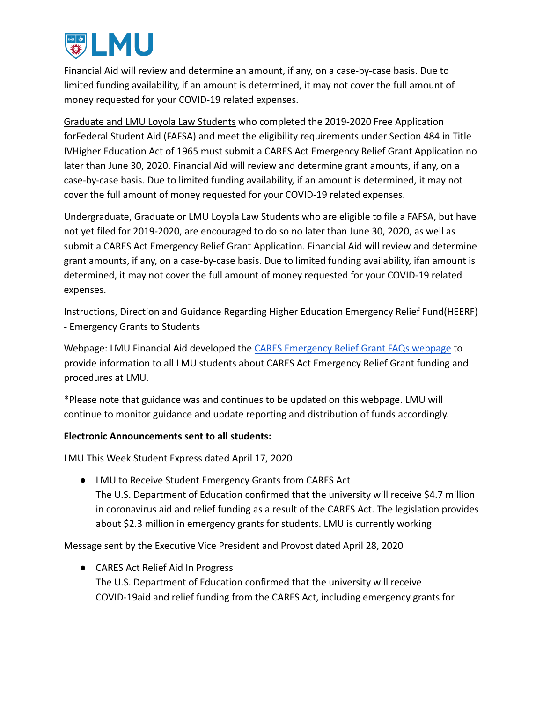

Financial Aid will review and determine an amount, if any, on a case-by-case basis. Due to limited funding availability, if an amount is determined, it may not cover the full amount of money requested for your COVID-19 related expenses.

Graduate and LMU Loyola Law Students who completed the 2019-2020 Free Application forFederal Student Aid (FAFSA) and meet the eligibility requirements under Section 484 in Title IVHigher Education Act of 1965 must submit a CARES Act Emergency Relief Grant Application no later than June 30, 2020. Financial Aid will review and determine grant amounts, if any, on a case-by-case basis. Due to limited funding availability, if an amount is determined, it may not cover the full amount of money requested for your COVID-19 related expenses.

Undergraduate, Graduate or LMU Loyola Law Students who are eligible to file a FAFSA, but have not yet filed for 2019-2020, are encouraged to do so no later than June 30, 2020, as well as submit a CARES Act Emergency Relief Grant Application. Financial Aid will review and determine grant amounts, if any, on a case-by-case basis. Due to limited funding availability, ifan amount is determined, it may not cover the full amount of money requested for your COVID-19 related expenses.

Instructions, Direction and Guidance Regarding Higher Education Emergency Relief Fund(HEERF) - Emergency Grants to Students

Webpage: LMU Financial Aid developed the CARES Emergency [Relief Grant FAQs webpage](https://financialaid.lmu.edu/current/caresactemergencyreliefgrant/) to provide information to all LMU students about CARES Act Emergency Relief Grant funding and procedures at LMU.

\*Please note that guidance was and continues to be updated on this webpage. LMU will continue to monitor guidance and update reporting and distribution of funds accordingly.

## **Electronic Announcements sent to all students:**

LMU This Week Student Express dated April 17, 2020

● LMU to Receive Student Emergency Grants from CARES Act The U.S. Department of Education confirmed that the university will receive \$4.7 million in coronavirus aid and relief funding as a result of the CARES Act. The legislation provides about \$2.3 million in emergency grants for students. LMU is currently working

Message sent by the Executive Vice President and Provost dated April 28, 2020

● CARES Act Relief Aid In Progress The U.S. Department of Education confirmed that the university will receive COVID-19aid and relief funding from the CARES Act, including emergency grants for